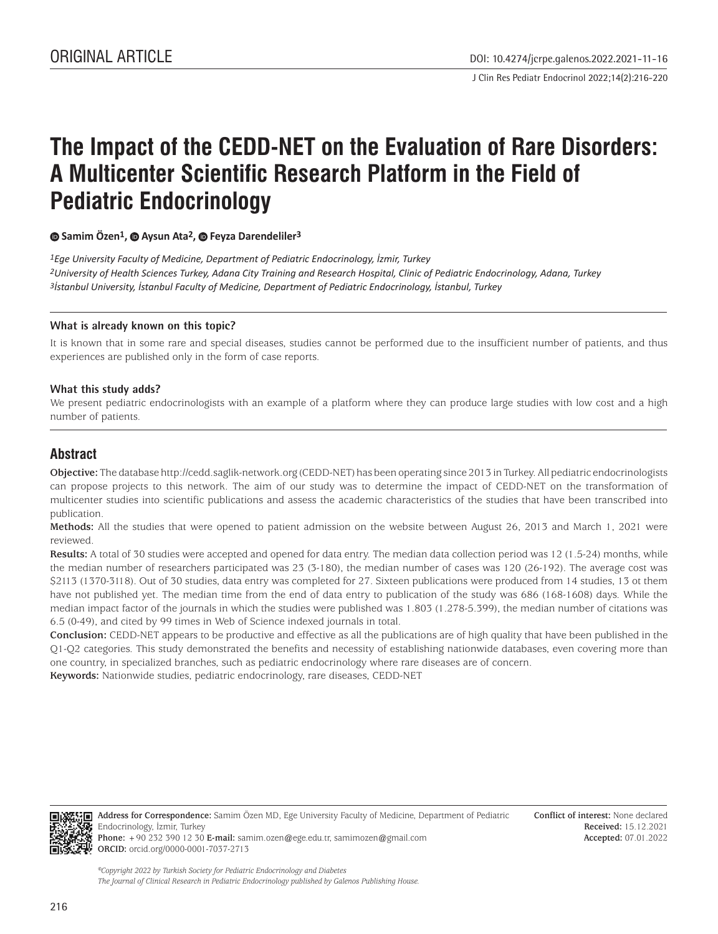J Clin Res Pediatr Endocrinol 2022;14(2):216-220

# **The Impact of the CEDD-NET on the Evaluation of Rare Disorders: A Multicenter Scientific Research Platform in the Field of Pediatric Endocrinology**

#### **Samim Özen1,Aysun Ata2, Feyza Darendeliler3**

*1Ege University Faculty of Medicine, Department of Pediatric Endocrinology, İzmir, Turkey 2University of Health Sciences Turkey, Adana City Training and Research Hospital, Clinic of Pediatric Endocrinology, Adana, Turkey 3İstanbul University, İstanbul Faculty of Medicine, Department of Pediatric Endocrinology, İstanbul, Turkey*

#### **What is already known on this topic?**

It is known that in some rare and special diseases, studies cannot be performed due to the insufficient number of patients, and thus experiences are published only in the form of case reports.

#### **What this study adds?**

We present pediatric endocrinologists with an example of a platform where they can produce large studies with low cost and a high number of patients.

## **Abstract**

**Objective:** The database http://cedd.saglik-network.org (CEDD-NET) has been operating since 2013 in Turkey. All pediatric endocrinologists can propose projects to this network. The aim of our study was to determine the impact of CEDD-NET on the transformation of multicenter studies into scientific publications and assess the academic characteristics of the studies that have been transcribed into publication.

**Methods:** All the studies that were opened to patient admission on the website between August 26, 2013 and March 1, 2021 were reviewed.

**Results:** A total of 30 studies were accepted and opened for data entry. The median data collection period was 12 (1.5-24) months, while the median number of researchers participated was 23 (3-180), the median number of cases was 120 (26-192). The average cost was \$2113 (1370-3118). Out of 30 studies, data entry was completed for 27. Sixteen publications were produced from 14 studies, 13 ot them have not published yet. The median time from the end of data entry to publication of the study was 686 (168-1608) days. While the median impact factor of the journals in which the studies were published was 1.803 (1.278-5.399), the median number of citations was 6.5 (0-49), and cited by 99 times in Web of Science indexed journals in total.

**Conclusion:** CEDD-NET appears to be productive and effective as all the publications are of high quality that have been published in the Q1-Q2 categories. This study demonstrated the benefits and necessity of establishing nationwide databases, even covering more than one country, in specialized branches, such as pediatric endocrinology where rare diseases are of concern.

**Keywords:** Nationwide studies, pediatric endocrinology, rare diseases, CEDD-NET



**Address for Correspondence:** Samim Özen MD, Ege University Faculty of Medicine, Department of Pediatric Endocrinology, İzmir, Turkey

**Phone:** +90 232 390 12 30 **E-mail:** samim.ozen@ege.edu.tr, samimozen@gmail.com **ORCID:** orcid.org/0000-0001-7037-2713

*©Copyright 2022 by Turkish Society for Pediatric Endocrinology and Diabetes The Journal of Clinical Research in Pediatric Endocrinology published by Galenos Publishing House.*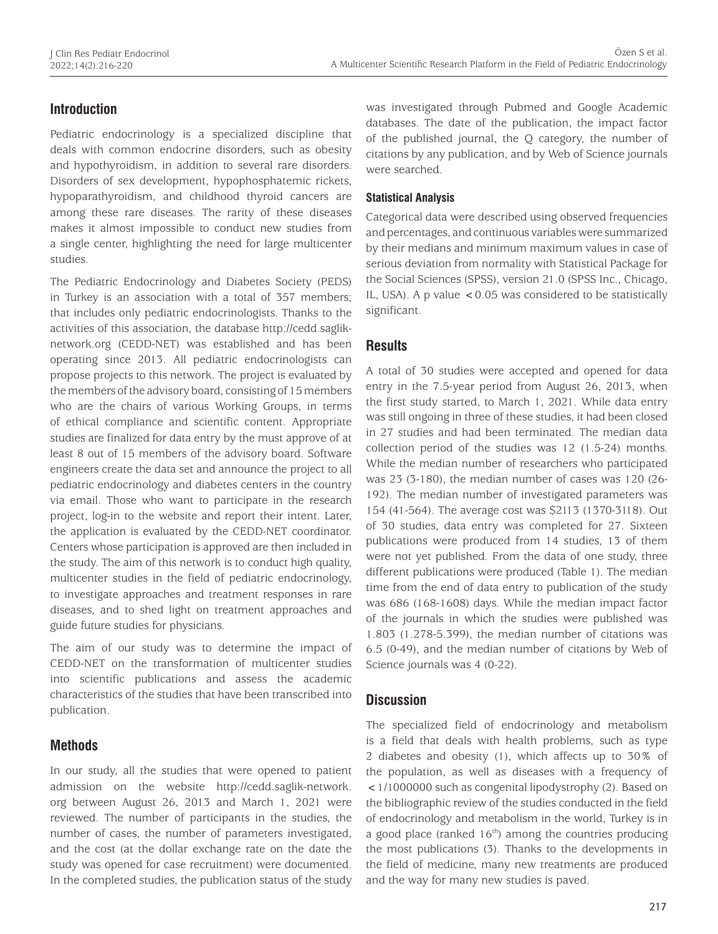# **Introduction**

Pediatric endocrinology is a specialized discipline that deals with common endocrine disorders, such as obesity and hypothyroidism, in addition to several rare disorders. Disorders of sex development, hypophosphatemic rickets, hypoparathyroidism, and childhood thyroid cancers are among these rare diseases. The rarity of these diseases makes it almost impossible to conduct new studies from a single center, highlighting the need for large multicenter studies.

The Pediatric Endocrinology and Diabetes Society (PEDS) in Turkey is an association with a total of 357 members; that includes only pediatric endocrinologists. Thanks to the activities of this association, the database http://cedd.sagliknetwork.org (CEDD-NET) was established and has been operating since 2013. All pediatric endocrinologists can propose projects to this network. The project is evaluated by the members of the advisory board, consisting of 15 members who are the chairs of various Working Groups, in terms of ethical compliance and scientific content. Appropriate studies are finalized for data entry by the must approve of at least 8 out of 15 members of the advisory board. Software engineers create the data set and announce the project to all pediatric endocrinology and diabetes centers in the country via email. Those who want to participate in the research project, log-in to the website and report their intent. Later, the application is evaluated by the CEDD-NET coordinator. Centers whose participation is approved are then included in the study. The aim of this network is to conduct high quality, multicenter studies in the field of pediatric endocrinology, to investigate approaches and treatment responses in rare diseases, and to shed light on treatment approaches and guide future studies for physicians.

The aim of our study was to determine the impact of CEDD-NET on the transformation of multicenter studies into scientific publications and assess the academic characteristics of the studies that have been transcribed into publication.

# **Methods**

In our study, all the studies that were opened to patient admission on the website http://cedd.saglik-network. org between August 26, 2013 and March 1, 2021 were reviewed. The number of participants in the studies, the number of cases, the number of parameters investigated, and the cost (at the dollar exchange rate on the date the study was opened for case recruitment) were documented. In the completed studies, the publication status of the study was investigated through Pubmed and Google Academic databases. The date of the publication, the impact factor of the published journal, the Q category, the number of citations by any publication, and by Web of Science journals were searched.

## **Statistical Analysis**

Categorical data were described using observed frequencies and percentages, and continuous variables were summarized by their medians and minimum maximum values in case of serious deviation from normality with Statistical Package for the Social Sciences (SPSS), version 21.0 (SPSS Inc., Chicago, IL, USA). A p value  $\lt 0.05$  was considered to be statistically significant.

## **Results**

A total of 30 studies were accepted and opened for data entry in the 7.5-year period from August 26, 2013, when the first study started, to March 1, 2021. While data entry was still ongoing in three of these studies, it had been closed in 27 studies and had been terminated. The median data collection period of the studies was 12 (1.5-24) months. While the median number of researchers who participated was 23 (3-180), the median number of cases was 120 (26- 192). The median number of investigated parameters was 154 (41-564). The average cost was \$2113 (1370-3118). Out of 30 studies, data entry was completed for 27. Sixteen publications were produced from 14 studies, 13 of them were not yet published. From the data of one study, three different publications were produced (Table 1). The median time from the end of data entry to publication of the study was 686 (168-1608) days. While the median impact factor of the journals in which the studies were published was 1.803 (1.278-5.399), the median number of citations was 6.5 (0-49), and the median number of citations by Web of Science journals was 4 (0-22).

# **Discussion**

The specialized field of endocrinology and metabolism is a field that deals with health problems, such as type 2 diabetes and obesity (1), which affects up to 30% of the population, as well as diseases with a frequency of <1/1000000 such as congenital lipodystrophy (2). Based on the bibliographic review of the studies conducted in the field of endocrinology and metabolism in the world, Turkey is in a good place (ranked  $16<sup>th</sup>$ ) among the countries producing the most publications (3). Thanks to the developments in the field of medicine, many new treatments are produced and the way for many new studies is paved.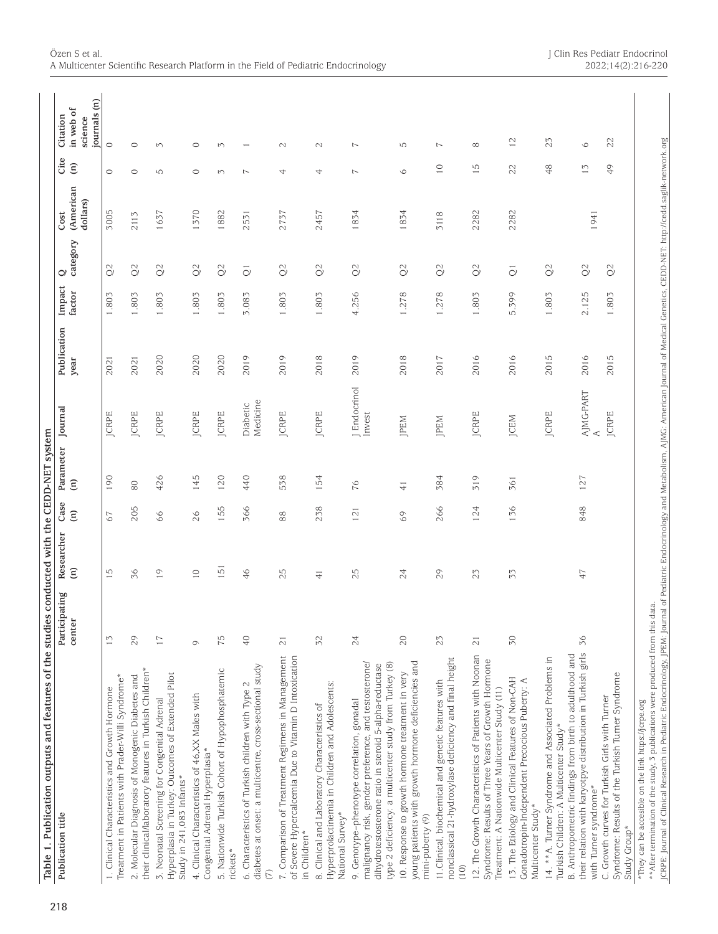| Table 1. Publication outputs and features of the studies conducted with the CEDD-NET system<br>Publication title                                                                                                        | Participating           | Researcher           | Case          | Parameter     | Journal                | Publication | Impact | Ò                             | Cost                  | Cite           | Citation                             |
|-------------------------------------------------------------------------------------------------------------------------------------------------------------------------------------------------------------------------|-------------------------|----------------------|---------------|---------------|------------------------|-------------|--------|-------------------------------|-----------------------|----------------|--------------------------------------|
|                                                                                                                                                                                                                         | center                  | $\widehat{\epsilon}$ | $\widehat{E}$ | $\widehat{E}$ |                        | year        | factor | category                      | (American<br>dollars) | $\widehat{E}$  | journals (n)<br>in web of<br>science |
| Treatment in Patients with Prader-Willi Syndrome*<br>1. Clinical Characteristics and Growth Hormone                                                                                                                     | $\tilde{c}$             | 15                   | 67            | 190           | <b>JCRPE</b>           | 2021        | 1.803  | $\frac{1}{2}$                 | 3005                  | $\circ$        | $\circ$                              |
| their clinical/laboratory features in Turkish Children*<br>2. Molecular Diagnosis of Monogenic Diabetes and                                                                                                             | 29                      | 36                   | 205           | $80\,$        | <b>JCRPE</b>           | 2021        | 1.803  | $\frac{2}{2}$                 | 2113                  | $\circ$        | $\circ$                              |
| Hyperplasia in Turkey: Outcomes of Extended Pilot<br>3. Neonatal Screening for Congenital Adrenal<br>Study in 241,083 Infants*                                                                                          | $\overline{17}$         | $\overline{0}$       | 66            | 426           | <b>JCRPE</b>           | 2020        | 1.803  | $\tilde{Q}$                   | 1637                  | LO.            | $\sim$                               |
| 4. Clinical Characteristics of 46, XX Males with<br>Congenital Adrenal Hyperplasia*                                                                                                                                     | $\circ$                 | $\supseteq$          | 26            | 145           | <b>JCRPE</b>           | 2020        | 1.803  | $\mathcal{O}$                 | 1370                  | $\circ$        | $\circ$                              |
| 5. Nationwide Turkish Cohort of Hypophosphatemic<br>rickets*                                                                                                                                                            | 75                      | 151                  | 155           | 120           | <b>JCRPE</b>           | 2020        | 1.803  | $\tilde{Q}$                   | 1882                  | $\sim$         | $\sim$                               |
| diabetes at onset: a multicentre, cross-sectional study<br>6. Characteristics of Turkish children with Type 2<br>E                                                                                                      | $\sqrt{4}$              | 46                   | 366           | 440           | Medicine<br>Diabetic   | 2019        | 3.083  | $\overline{O}$                | 2531                  | $\overline{ }$ |                                      |
| 7. Comparison of Treatment Regimens in Management<br>of Severe Hypercalcemia Due to Vitamin D Intoxication<br>in Children*                                                                                              | $\overline{\mathbf{C}}$ | 25                   | 88            | 538           | <b>JCRPE</b>           | 2019        | 1.803  | $\mathcal{O}$                 | 2737                  | 4              | $\sim$                               |
| Hyperprolactinemia in Children and Adolescents:<br>8. Clinical and Laboratory Characteristics of<br>National Survey*                                                                                                    | 52                      | $\overline{+}$       | 238           | 54            | <b>JCRPE</b>           | 2018        | 1.803  | $\frac{\partial}{\partial x}$ | 2457                  | 4              | $\sim$                               |
| malignancy risk, gender preference, and testosterone/<br>type 2 deficiency: a multicenter study from Turkey (8)<br>dihydrotestosterone ratio in steroid 5-alpha-reductase<br>9. Genotype-phenotype correlation, gonadal | 24                      | 25                   | 121           | 76            | J Endocrinol<br>Invest | 2019        | 4.256  | $\Im$                         | 1834                  | $\overline{ }$ | 7                                    |
| young patients with growth hormone deficiencies and<br>10. Response to growth hormone treatment in very<br>mini-puberty (9)                                                                                             | 20                      | $24\,$               | 69            | $\frac{1}{4}$ | JPEM                   | 2018        | 1.278  | $\Im$                         | 1834                  | $\circ$        | Ю                                    |
| nonclassical 21-hydroxylase deficiency and final height<br>11. Clinical, biochemical and genetic features with<br>(10)                                                                                                  | 23                      | 29                   | 266           | 384           | JPEM                   | 2017        | 1.278  | $\tilde{Q}$                   | 3118                  | $\supseteq$    | $\overline{ }$                       |
| 12. The Growth Characteristics of Patients with Noonan<br>Syndrome: Results of Three Years of Growth Hormone<br>Treatment: A Nationwide Multicenter Study (11)                                                          | $\overline{2}1$         | 23                   | 124           | 519           | <b>JCRPE</b>           | 2016        | 1.803  | $\Im$                         | 2282                  | Гņ             | $\infty$                             |
| 13. The Etiology and Clinical Features of Non-CAH<br>Gonadotropin-Independent Precocious Puberty: A<br>Multicenter Study*                                                                                               | 50                      | 53                   | 136           | 361           | JCEM                   | 2016        | 5.399  | $\overline{\bigcirc}$         | 2282                  | 22             | $\overline{c}$                       |
| B. Anthropometric findings from birth to adulthood and<br>14. ** A. Turner Syndrome and Associated Problems in<br>Turkish Children: A Multicenter Study*                                                                |                         |                      |               |               | JCRPE                  | 2015        | 1.803  | $\Im$                         |                       | 48             | 23                                   |
| their relation with karyotpye distribution in Turkish girls<br>with Turner syndrome*                                                                                                                                    | 36                      | 47                   | 848           | 127           | AJMG-PART              | 2016        | 2.125  | $\Im$                         | 1941                  | $\overline{1}$ | $\circ$                              |
| Syndrome: Results of the Turkish Turner Syndrome<br>C. Growth curves for Turkish Girls with Turner<br>Study Group*                                                                                                      |                         |                      |               |               | <b>JCRPE</b>           | 2015        | 1.803  | $\mathcal{Q}$                 |                       | 49             | 22                                   |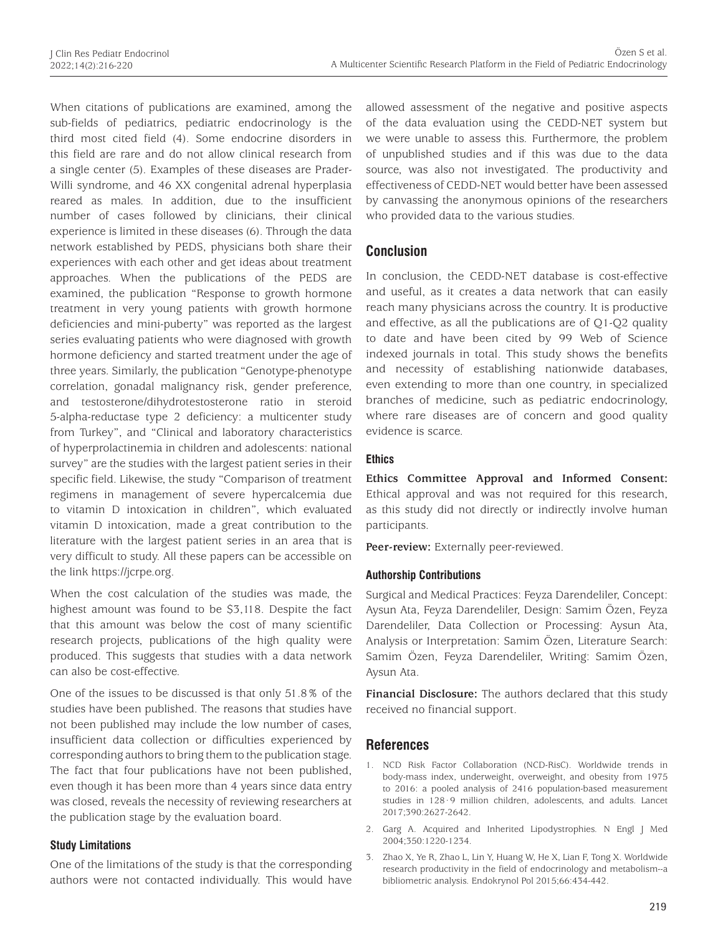When citations of publications are examined, among the sub-fields of pediatrics, pediatric endocrinology is the third most cited field (4). Some endocrine disorders in this field are rare and do not allow clinical research from a single center (5). Examples of these diseases are Prader-Willi syndrome, and 46 XX congenital adrenal hyperplasia reared as males. In addition, due to the insufficient number of cases followed by clinicians, their clinical experience is limited in these diseases (6). Through the data network established by PEDS, physicians both share their experiences with each other and get ideas about treatment approaches. When the publications of the PEDS are examined, the publication "Response to growth hormone treatment in very young patients with growth hormone deficiencies and mini-puberty" was reported as the largest series evaluating patients who were diagnosed with growth hormone deficiency and started treatment under the age of three years. Similarly, the publication "Genotype-phenotype correlation, gonadal malignancy risk, gender preference, and testosterone/dihydrotestosterone ratio in steroid 5-alpha-reductase type 2 deficiency: a multicenter study from Turkey", and "Clinical and laboratory characteristics of hyperprolactinemia in children and adolescents: national survey" are the studies with the largest patient series in their specific field. Likewise, the study "Comparison of treatment regimens in management of severe hypercalcemia due to vitamin D intoxication in children", which evaluated vitamin D intoxication, made a great contribution to the literature with the largest patient series in an area that is very difficult to study. All these papers can be accessible on the link https://jcrpe.org.

When the cost calculation of the studies was made, the highest amount was found to be \$3,118. Despite the fact that this amount was below the cost of many scientific research projects, publications of the high quality were produced. This suggests that studies with a data network can also be cost-effective.

One of the issues to be discussed is that only 51.8% of the studies have been published. The reasons that studies have not been published may include the low number of cases, insufficient data collection or difficulties experienced by corresponding authors to bring them to the publication stage. The fact that four publications have not been published, even though it has been more than 4 years since data entry was closed, reveals the necessity of reviewing researchers at the publication stage by the evaluation board.

#### **Study Limitations**

One of the limitations of the study is that the corresponding authors were not contacted individually. This would have allowed assessment of the negative and positive aspects of the data evaluation using the CEDD-NET system but we were unable to assess this. Furthermore, the problem of unpublished studies and if this was due to the data source, was also not investigated. The productivity and effectiveness of CEDD-NET would better have been assessed by canvassing the anonymous opinions of the researchers who provided data to the various studies.

# **Conclusion**

In conclusion, the CEDD-NET database is cost-effective and useful, as it creates a data network that can easily reach many physicians across the country. It is productive and effective, as all the publications are of Q1-Q2 quality to date and have been cited by 99 Web of Science indexed journals in total. This study shows the benefits and necessity of establishing nationwide databases, even extending to more than one country, in specialized branches of medicine, such as pediatric endocrinology, where rare diseases are of concern and good quality evidence is scarce.

## **Ethics**

**Ethics Committee Approval and Informed Consent:** Ethical approval and was not required for this research, as this study did not directly or indirectly involve human participants.

**Peer-review:** Externally peer-reviewed.

## **Authorship Contributions**

Surgical and Medical Practices: Feyza Darendeliler, Concept: Aysun Ata, Feyza Darendeliler, Design: Samim Özen, Feyza Darendeliler, Data Collection or Processing: Aysun Ata, Analysis or Interpretation: Samim Özen, Literature Search: Samim Özen, Feyza Darendeliler, Writing: Samim Özen, Aysun Ata.

**Financial Disclosure:** The authors declared that this study received no financial support.

# **References**

- 1. NCD Risk Factor Collaboration (NCD-RisC). Worldwide trends in body-mass index, underweight, overweight, and obesity from 1975 to 2016: a pooled analysis of 2416 population-based measurement studies in 128·9 million children, adolescents, and adults. Lancet 2017;390:2627-2642.
- 2. Garg A. Acquired and Inherited Lipodystrophies. N Engl J Med 2004;350:1220-1234.
- 3. Zhao X, Ye R, Zhao L, Lin Y, Huang W, He X, Lian F, Tong X. Worldwide research productivity in the field of endocrinology and metabolism--a bibliometric analysis. Endokrynol Pol 2015;66:434-442.